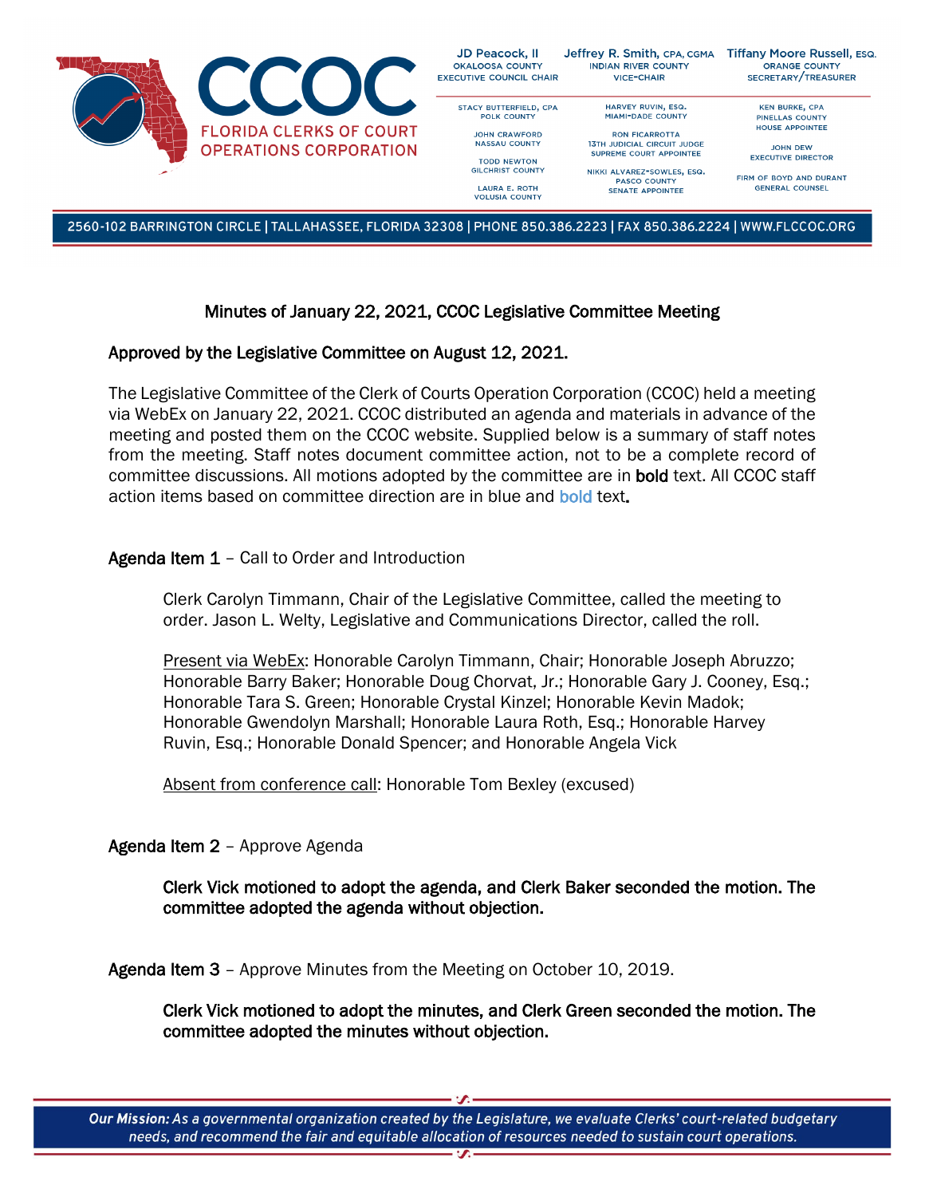

2560-102 BARRINGTON CIRCLE | TALLAHASSEE, FLORIDA 32308 | PHONE 850.386.2223 | FAX 850.386.2224 | WWW.FLCCOC.ORG

# Minutes of January 22, 2021, CCOC Legislative Committee Meeting

## Approved by the Legislative Committee on August 12, 2021.

The Legislative Committee of the Clerk of Courts Operation Corporation (CCOC) held a meeting via WebEx on January 22, 2021. CCOC distributed an agenda and materials in advance of the meeting and posted them on the CCOC website. Supplied below is a summary of staff notes from the meeting. Staff notes document committee action, not to be a complete record of committee discussions. All motions adopted by the committee are in bold text. All CCOC staff action items based on committee direction are in blue and **bold** text.

## Agenda Item 1 - Call to Order and Introduction

Clerk Carolyn Timmann, Chair of the Legislative Committee, called the meeting to order. Jason L. Welty, Legislative and Communications Director, called the roll.

Present via WebEx: Honorable Carolyn Timmann, Chair; Honorable Joseph Abruzzo; Honorable Barry Baker; Honorable Doug Chorvat, Jr.; Honorable Gary J. Cooney, Esq.; Honorable Tara S. Green; Honorable Crystal Kinzel; Honorable Kevin Madok; Honorable Gwendolyn Marshall; Honorable Laura Roth, Esq.; Honorable Harvey Ruvin, Esq.; Honorable Donald Spencer; and Honorable Angela Vick

Absent from conference call: Honorable Tom Bexley (excused)

## Agenda Item 2 – Approve Agenda

Clerk Vick motioned to adopt the agenda, and Clerk Baker seconded the motion. The committee adopted the agenda without objection.

Agenda Item 3 – Approve Minutes from the Meeting on October 10, 2019.

Clerk Vick motioned to adopt the minutes, and Clerk Green seconded the motion. The committee adopted the minutes without objection.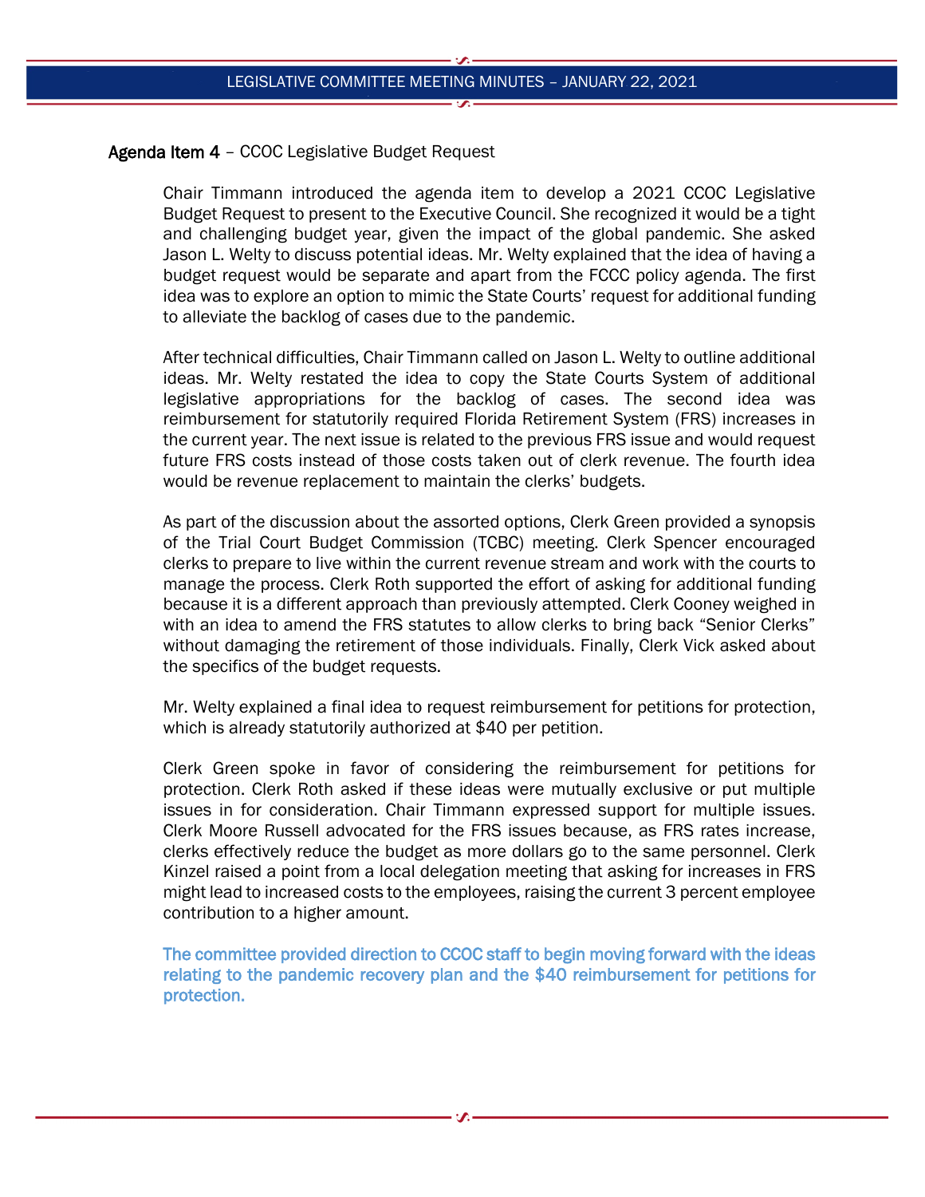### Agenda Item 4 – CCOC Legislative Budget Request

Chair Timmann introduced the agenda item to develop a 2021 CCOC Legislative Budget Request to present to the Executive Council. She recognized it would be a tight and challenging budget year, given the impact of the global pandemic. She asked Jason L. Welty to discuss potential ideas. Mr. Welty explained that the idea of having a budget request would be separate and apart from the FCCC policy agenda. The first idea was to explore an option to mimic the State Courts' request for additional funding to alleviate the backlog of cases due to the pandemic.

After technical difficulties, Chair Timmann called on Jason L. Welty to outline additional ideas. Mr. Welty restated the idea to copy the State Courts System of additional legislative appropriations for the backlog of cases. The second idea was reimbursement for statutorily required Florida Retirement System (FRS) increases in the current year. The next issue is related to the previous FRS issue and would request future FRS costs instead of those costs taken out of clerk revenue. The fourth idea would be revenue replacement to maintain the clerks' budgets.

As part of the discussion about the assorted options, Clerk Green provided a synopsis of the Trial Court Budget Commission (TCBC) meeting. Clerk Spencer encouraged clerks to prepare to live within the current revenue stream and work with the courts to manage the process. Clerk Roth supported the effort of asking for additional funding because it is a different approach than previously attempted. Clerk Cooney weighed in with an idea to amend the FRS statutes to allow clerks to bring back "Senior Clerks" without damaging the retirement of those individuals. Finally, Clerk Vick asked about the specifics of the budget requests.

Mr. Welty explained a final idea to request reimbursement for petitions for protection, which is already statutorily authorized at \$40 per petition.

Clerk Green spoke in favor of considering the reimbursement for petitions for protection. Clerk Roth asked if these ideas were mutually exclusive or put multiple issues in for consideration. Chair Timmann expressed support for multiple issues. Clerk Moore Russell advocated for the FRS issues because, as FRS rates increase, clerks effectively reduce the budget as more dollars go to the same personnel. Clerk Kinzel raised a point from a local delegation meeting that asking for increases in FRS might lead to increased costs to the employees, raising the current 3 percent employee contribution to a higher amount.

The committee provided direction to CCOC staff to begin moving forward with the ideas relating to the pandemic recovery plan and the \$40 reimbursement for petitions for protection.